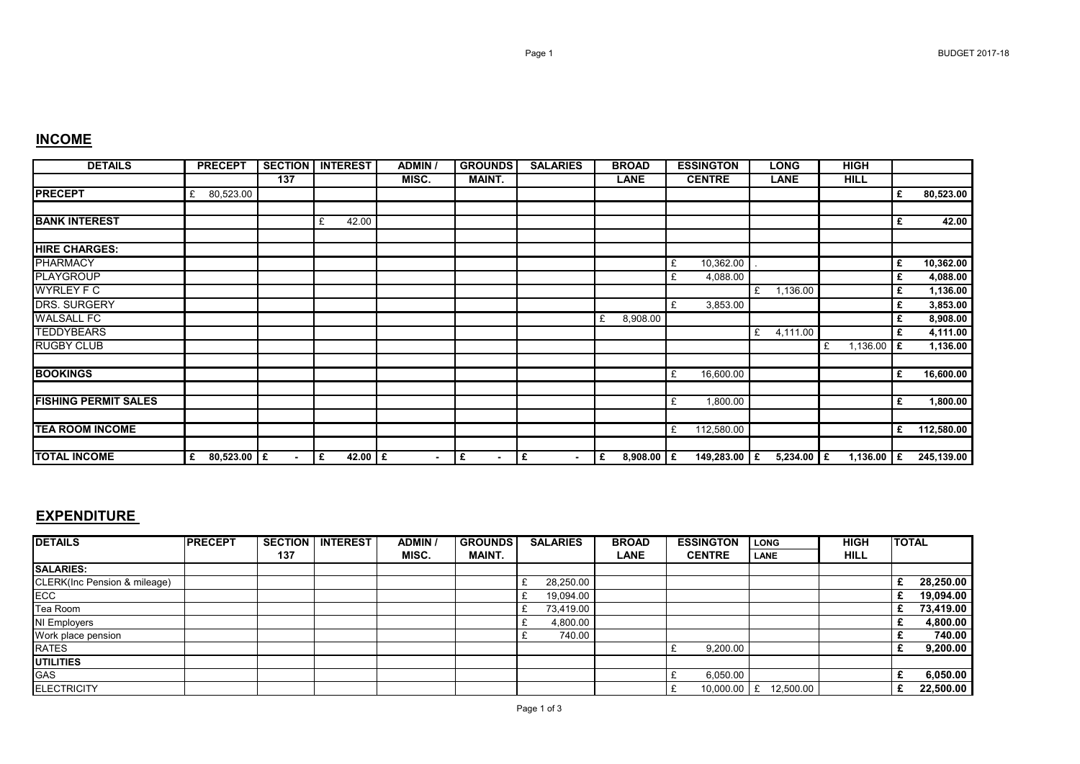| <b>DETAILS</b>              | <b>PRECEPT</b>     | <b>SECTION</b> | <b>INTEREST</b> | <b>ADMIN</b>   | <b>GROUNDS</b>      | <b>SALARIES</b>               | <b>BROAD</b>      | <b>ESSINGTON</b> | <b>LONG</b>   | <b>HIGH</b>   |    |            |
|-----------------------------|--------------------|----------------|-----------------|----------------|---------------------|-------------------------------|-------------------|------------------|---------------|---------------|----|------------|
|                             |                    | 137            |                 | MISC.          | <b>MAINT.</b>       |                               | <b>LANE</b>       | <b>CENTRE</b>    | <b>LANE</b>   | <b>HILL</b>   |    |            |
| <b>PRECEPT</b>              | 80,523.00<br>£     |                |                 |                |                     |                               |                   |                  |               |               | £  | 80,523.00  |
|                             |                    |                |                 |                |                     |                               |                   |                  |               |               |    |            |
| <b>BANK INTEREST</b>        |                    |                | 42.00<br>£      |                |                     |                               |                   |                  |               |               | £  | 42.00      |
|                             |                    |                |                 |                |                     |                               |                   |                  |               |               |    |            |
| <b>HIRE CHARGES:</b>        |                    |                |                 |                |                     |                               |                   |                  |               |               |    |            |
| <b>PHARMACY</b>             |                    |                |                 |                |                     |                               |                   | 10,362.00<br>£   |               |               | £  | 10,362.00  |
| <b>PLAYGROUP</b>            |                    |                |                 |                |                     |                               |                   | 4,088.00<br>£    |               |               | £  | 4,088.00   |
| <b>WYRLEY F C</b>           |                    |                |                 |                |                     |                               |                   |                  | 1,136.00<br>£ |               | £  | 1,136.00   |
| <b>DRS. SURGERY</b>         |                    |                |                 |                |                     |                               |                   | £<br>3,853.00    |               |               | £  | 3,853.00   |
| <b>WALSALL FC</b>           |                    |                |                 |                |                     |                               | 8,908.00<br>£     |                  |               |               | £  | 8,908.00   |
| <b>TEDDYBEARS</b>           |                    |                |                 |                |                     |                               |                   |                  | 4,111.00<br>£ |               | £  | 4,111.00   |
| <b>RUGBY CLUB</b>           |                    |                |                 |                |                     |                               |                   |                  |               | 1,136.00<br>£ | £  | 1,136.00   |
|                             |                    |                |                 |                |                     |                               |                   |                  |               |               |    |            |
| <b>BOOKINGS</b>             |                    |                |                 |                |                     |                               |                   | 16,600.00<br>£   |               |               | £  | 16,600.00  |
|                             |                    |                |                 |                |                     |                               |                   |                  |               |               |    |            |
| <b>FISHING PERMIT SALES</b> |                    |                |                 |                |                     |                               |                   | 1,800.00<br>£    |               |               | £  | 1,800.00   |
|                             |                    |                |                 |                |                     |                               |                   |                  |               |               |    |            |
| <b>TEA ROOM INCOME</b>      |                    |                |                 |                |                     |                               |                   | 112,580.00<br>£  |               |               | £  | 112,580.00 |
|                             |                    |                |                 |                |                     |                               |                   |                  |               |               |    |            |
| <b>TOTAL INCOME</b>         | $80,523.00$ £<br>£ | $\blacksquare$ | 42.00 $E$<br>١£ | $\blacksquare$ | £<br>$\blacksquare$ | £<br>$\overline{\phantom{0}}$ | £<br>$8,908.00$ £ | 149,283.00 £     | $5,234.00$ E  | 1,136.00      | Ι£ | 245,139.00 |

## **EXPENDITURE**

| <b>DETAILS</b>               | <b>PRECEPT</b> | <b>SECTION</b> | <b>INTEREST</b> | <b>ADMIN</b> | <b>GROUNDS</b> | <b>SALARIES</b> | <b>BROAD</b> | <b>ESSINGTON</b> | <b>LONG</b> | <b>HIGH</b> | <b>TOTAL</b> |
|------------------------------|----------------|----------------|-----------------|--------------|----------------|-----------------|--------------|------------------|-------------|-------------|--------------|
|                              |                | 137            |                 | MISC.        | <b>MAINT.</b>  |                 | <b>LANE</b>  | <b>CENTRE</b>    | <b>LANE</b> | <b>HILL</b> |              |
| <b>SALARIES:</b>             |                |                |                 |              |                |                 |              |                  |             |             |              |
| CLERK(Inc Pension & mileage) |                |                |                 |              |                | 28,250.00       |              |                  |             |             | 28,250.00    |
| ECC                          |                |                |                 |              |                | 19,094.00       |              |                  |             |             | 19,094.00    |
| Tea Room                     |                |                |                 |              |                | 73,419.00       |              |                  |             |             | 73,419.00    |
| NI Employers                 |                |                |                 |              |                | 4,800.00        |              |                  |             |             | 4,800.00     |
| Work place pension           |                |                |                 |              |                | 740.00          |              |                  |             |             | 740.00       |
| <b>RATES</b>                 |                |                |                 |              |                |                 |              | 9,200.00         |             |             | 9,200.00     |
| <b>UTILITIES</b>             |                |                |                 |              |                |                 |              |                  |             |             |              |
| <b>GAS</b>                   |                |                |                 |              |                |                 |              | 6,050.00         |             |             | 6,050.00     |
| <b>ELECTRICITY</b>           |                |                |                 |              |                |                 |              | $10,000.00$ E    | 12,500.00   |             | 22,500.00    |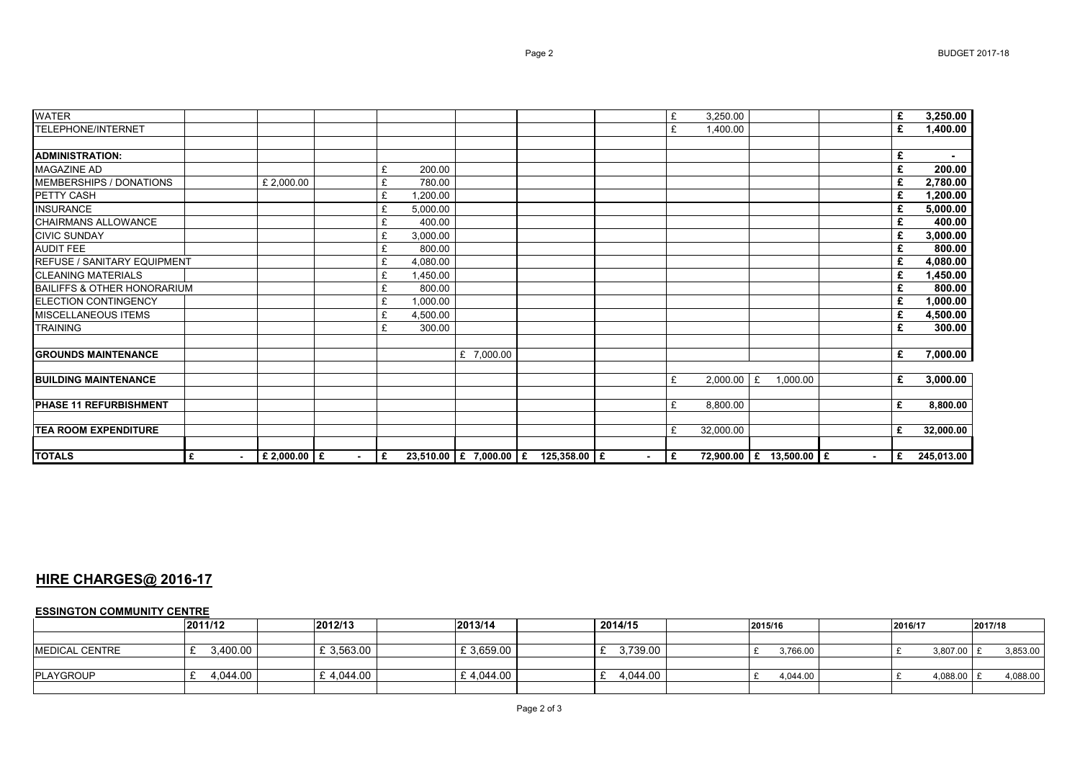| <b>WATER</b>                           |             |                  |        |                |          |            |                                     |        | £  | 3,250.00  |   |                         |                | £ | 3,250.00   |
|----------------------------------------|-------------|------------------|--------|----------------|----------|------------|-------------------------------------|--------|----|-----------|---|-------------------------|----------------|---|------------|
| TELEPHONE/INTERNET                     |             |                  |        |                |          |            |                                     |        | £  | 1,400.00  |   |                         |                | £ | 1,400.00   |
| <b>ADMINISTRATION:</b>                 |             |                  |        |                |          |            |                                     |        |    |           |   |                         |                | £ | $\sim$     |
| <b>MAGAZINE AD</b>                     |             |                  |        | £              | 200.00   |            |                                     |        |    |           |   |                         |                | £ | 200.00     |
| MEMBERSHIPS / DONATIONS                |             | £ 2,000.00       |        | £              | 780.00   |            |                                     |        |    |           |   |                         |                | £ | 2,780.00   |
| PETTY CASH                             |             |                  |        | £              | 1,200.00 |            |                                     |        |    |           |   |                         |                | £ | 1,200.00   |
| <b>INSURANCE</b>                       |             |                  |        | £              | 5,000.00 |            |                                     |        |    |           |   |                         |                | £ | 5,000.00   |
| CHAIRMANS ALLOWANCE                    |             |                  |        | £              | 400.00   |            |                                     |        |    |           |   |                         |                |   | 400.00     |
| <b>CIVIC SUNDAY</b>                    |             |                  |        | £              | 3,000.00 |            |                                     |        |    |           |   |                         |                |   | 3,000.00   |
| <b>AUDIT FEE</b>                       |             |                  |        | £              | 800.00   |            |                                     |        |    |           |   |                         |                | £ | 800.00     |
| <b>REFUSE / SANITARY EQUIPMENT</b>     |             |                  |        | £              | 4,080.00 |            |                                     |        |    |           |   |                         |                |   | 4,080.00   |
| <b>CLEANING MATERIALS</b>              |             |                  |        | £              | 1,450.00 |            |                                     |        |    |           |   |                         |                | £ | 1,450.00   |
| <b>BAILIFFS &amp; OTHER HONORARIUM</b> |             |                  |        | £              | 800.00   |            |                                     |        |    |           |   |                         |                | £ | 800.00     |
| <b>ELECTION CONTINGENCY</b>            |             |                  |        | £              | 1,000.00 |            |                                     |        |    |           |   |                         |                | £ | 1,000.00   |
| <b>MISCELLANEOUS ITEMS</b>             |             |                  |        | £              | 4,500.00 |            |                                     |        |    |           |   |                         |                | £ | 4,500.00   |
| <b>TRAINING</b>                        |             |                  |        | £              | 300.00   |            |                                     |        |    |           |   |                         |                |   | 300.00     |
|                                        |             |                  |        |                |          |            |                                     |        |    |           |   |                         |                |   |            |
| <b>IGROUNDS MAINTENANCE</b>            |             |                  |        |                |          | £ 7,000.00 |                                     |        |    |           |   |                         |                | £ | 7,000.00   |
|                                        |             |                  |        |                |          |            |                                     |        |    |           |   |                         |                |   |            |
| <b>BUILDING MAINTENANCE</b>            |             |                  |        |                |          |            |                                     |        | £  | 2,000.00  | £ | 1.000.00                |                | £ | 3,000.00   |
|                                        |             |                  |        |                |          |            |                                     |        |    |           |   |                         |                |   |            |
| <b>PHASE 11 REFURBISHMENT</b>          |             |                  |        |                |          |            |                                     |        | £  | 8,800.00  |   |                         |                | £ | 8,800.00   |
|                                        |             |                  |        |                |          |            |                                     |        |    |           |   |                         |                |   |            |
| <b>TEA ROOM EXPENDITURE</b>            |             |                  |        |                |          |            |                                     |        | £  | 32,000.00 |   |                         |                | £ | 32,000.00  |
|                                        |             |                  |        |                |          |            |                                     |        |    |           |   |                         |                |   |            |
| <b>TOTALS</b>                          | £<br>$\sim$ | $E$ 2,000.00 $E$ | $\sim$ | $\overline{E}$ |          |            | 23,510.00 £ 7,000.00 £ 125,358.00 £ | $\sim$ | Ι£ |           |   | 72,900.00 E 13,500.00 E | $\blacksquare$ | E | 245,013.00 |

## **HIRE CHARGES@ 2016-17**

## **ESSINGTON COMMUNITY CENTRE**

|                | 2011/12  | 2012/13    | 2013/14    | 2014/15  | 2015/16  | 2016/17 |            | 2017/18 |          |
|----------------|----------|------------|------------|----------|----------|---------|------------|---------|----------|
|                |          |            |            |          |          |         |            |         |          |
| MEDICAL CENTRE | 3,400.00 | £ 3,563.00 | £ 3,659.00 | 3,739.00 | 3,766.00 |         | 3,807.00 £ |         | 3,853.00 |
|                |          |            |            |          |          |         |            |         |          |
| PLAYGROUP      | 4.044.00 | £4.044.00  | £4.044.00  | 4.044.00 | 4,044.00 |         | 4,088.00   |         | 4,088.00 |
|                |          |            |            |          |          |         |            |         |          |